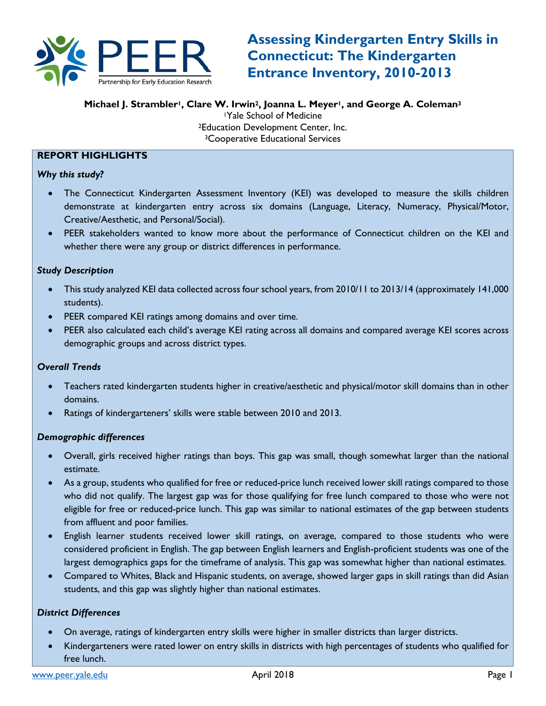

**Michael J. Strambler1, Clare W. Irwin2, Joanna L. Meyer1, and George A. Coleman3**

1Yale School of Medicine 2Education Development Center, Inc. 3Cooperative Educational Services

### **REPORT HIGHLIGHTS**

*Why this study?*

- The Connecticut Kindergarten Assessment Inventory (KEI) was developed to measure the skills children demonstrate at kindergarten entry across six domains (Language, Literacy, Numeracy, Physical/Motor, Creative/Aesthetic, and Personal/Social).
- PEER stakeholders wanted to know more about the performance of Connecticut children on the KEI and whether there were any group or district differences in performance.

#### *Study Description*

- This study analyzed KEI data collected across four school years, from 2010/11 to 2013/14 (approximately 141,000 students).
- PEER compared KEI ratings among domains and over time.
- PEER also calculated each child's average KEI rating across all domains and compared average KEI scores across demographic groups and across district types.

#### *Overall Trends*

- Teachers rated kindergarten students higher in creative/aesthetic and physical/motor skill domains than in other domains.
- Ratings of kindergarteners' skills were stable between 2010 and 2013.

#### *Demographic differences*

- Overall, girls received higher ratings than boys. This gap was small, though somewhat larger than the national estimate.
- As a group, students who qualified for free or reduced-price lunch received lower skill ratings compared to those who did not qualify. The largest gap was for those qualifying for free lunch compared to those who were not eligible for free or reduced-price lunch. This gap was similar to national estimates of the gap between students from affluent and poor families.
- English learner students received lower skill ratings, on average, compared to those students who were considered proficient in English. The gap between English learners and English-proficient students was one of the largest demographics gaps for the timeframe of analysis. This gap was somewhat higher than national estimates.
- Compared to Whites, Black and Hispanic students, on average, showed larger gaps in skill ratings than did Asian students, and this gap was slightly higher than national estimates.

#### *District Differences*

- On average, ratings of kindergarten entry skills were higher in smaller districts than larger districts.
- Kindergarteners were rated lower on entry skills in districts with high percentages of students who qualified for free lunch.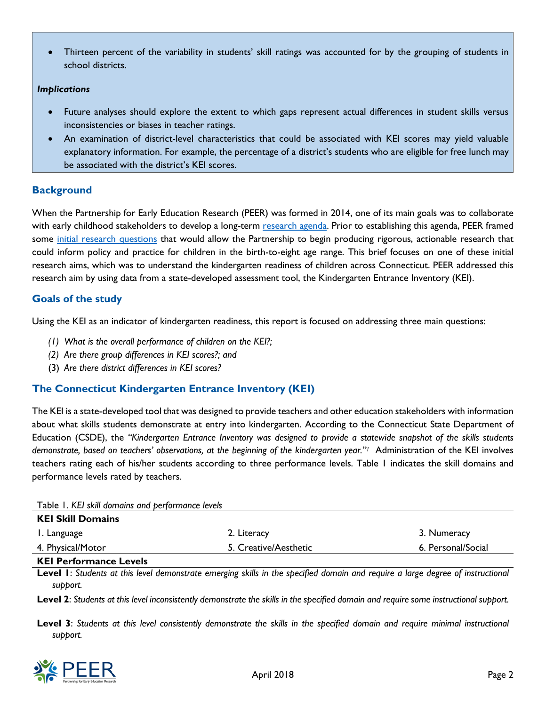• Thirteen percent of the variability in students' skill ratings was accounted for by the grouping of students in school districts.

#### *Implications*

- Future analyses should explore the extent to which gaps represent actual differences in student skills versus inconsistencies or biases in teacher ratings.
- An examination of district-level characteristics that could be associated with KEI scores may yield valuable explanatory information. For example, the percentage of a district's students who are eligible for free lunch may be associated with the district's KEI scores.

## **Background**

When the Partnership for Early Education Research (PEER) was formed in 2014, one of its main goals was to collaborate with early childhood stakeholders to develop a long-term [research agenda.](http://peer.yale.edu/Publications/PEER%20Collaborative%20Research%20Agenda_284806_284_31376.pdf) Prior to establishing this agenda, PEER framed some [initial research questions](http://peer.yale.edu/Publications/PEER%20Initial%20Research%20Questions_251675_284_31376.pdf) that would allow the Partnership to begin producing rigorous, actionable research that could inform policy and practice for children in the birth-to-eight age range. This brief focuses on one of these initial research aims, which was to understand the kindergarten readiness of children across Connecticut. PEER addressed this research aim by using data from a state-developed assessment tool, the Kindergarten Entrance Inventory (KEI).

## **Goals of the study**

Using the KEI as an indicator of kindergarten readiness, this report is focused on addressing three main questions:

- *(1) What is the overall performance of children on the KEI?;*
- *(2) Are there group differences in KEI scores?; and*
- (3) *Are there district differences in KEI scores?*

## **The Connecticut Kindergarten Entrance Inventory (KEI)**

The KEI is a state-developed tool that was designed to provide teachers and other education stakeholders with information about what skills students demonstrate at entry into kindergarten. According to the Connecticut State Department of Education (CSDE), the *"Kindergarten Entrance Inventory was designed to provide a statewide snapshot of the skills students demonstrate, based on teachers' observations, at the beginning of the kindergarten year."1* Administration of the KEI involves teachers rating each of his/her students according to three performance levels. Table 1 indicates the skill domains and performance levels rated by teachers.

Table 1. *KEI skill domains and performance levels*

| <b>KEI Skill Domains</b> |                       |                    |
|--------------------------|-----------------------|--------------------|
| I. Language              | 2. Literacy           | 3. Numeracy        |
| 4. Physical/Motor        | 5. Creative/Aesthetic | 6. Personal/Social |

#### **KEI Performance Levels**

**Level 1**: *Students at this level demonstrate emerging skills in the specified domain and require a large degree of instructional support.*

**Level 2**: *Students at this level inconsistently demonstrate the skills in the specified domain and require some instructional support.*

**Level 3**: *Students at this level consistently demonstrate the skills in the specified domain and require minimal instructional support.* 

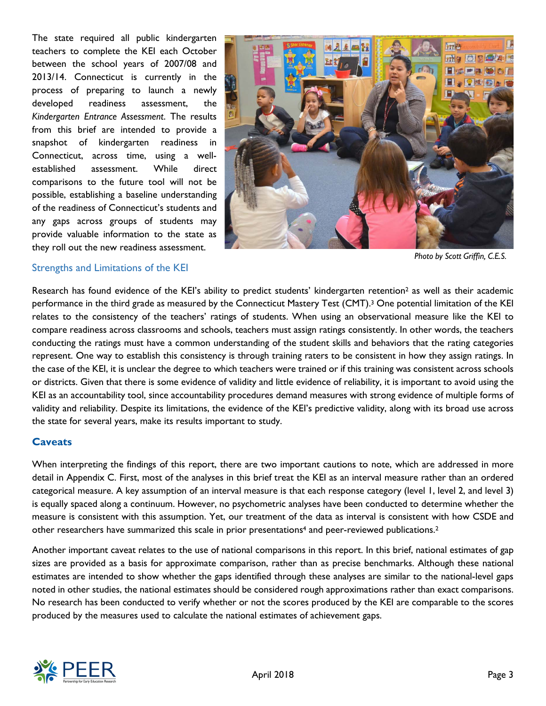The state required all public kindergarten teachers to complete the KEI each October between the school years of 2007/08 and 2013/14. Connecticut is currently in the process of preparing to launch a newly developed readiness assessment, the *Kindergarten Entrance Assessment*. The results from this brief are intended to provide a snapshot of kindergarten readiness in Connecticut, across time, using a wellestablished assessment. While direct comparisons to the future tool will not be possible, establishing a baseline understanding of the readiness of Connecticut's students and any gaps across groups of students may provide valuable information to the state as they roll out the new readiness assessment.



*Photo by Scott Griffin, C.E.S.*

#### Strengths and Limitations of the KEI

Research has found evidence of the KEI's ability to predict students' kindergarten retention<sup>2</sup> as well as their academic performance in the third grade as measured by the Connecticut Mastery Test (CMT).3 One potential limitation of the KEI relates to the consistency of the teachers' ratings of students. When using an observational measure like the KEI to compare readiness across classrooms and schools, teachers must assign ratings consistently. In other words, the teachers conducting the ratings must have a common understanding of the student skills and behaviors that the rating categories represent. One way to establish this consistency is through training raters to be consistent in how they assign ratings. In the case of the KEI, it is unclear the degree to which teachers were trained or if this training was consistent across schools or districts. Given that there is some evidence of validity and little evidence of reliability, it is important to avoid using the KEI as an accountability tool, since accountability procedures demand measures with strong evidence of multiple forms of validity and reliability. Despite its limitations, the evidence of the KEI's predictive validity, along with its broad use across the state for several years, make its results important to study.

### **Caveats**

When interpreting the findings of this report, there are two important cautions to note, which are addressed in more detail in Appendix C. First, most of the analyses in this brief treat the KEI as an interval measure rather than an ordered categorical measure. A key assumption of an interval measure is that each response category (level 1, level 2, and level 3) is equally spaced along a continuum. However, no psychometric analyses have been conducted to determine whether the measure is consistent with this assumption. Yet, our treatment of the data as interval is consistent with how CSDE and other researchers have summarized this scale in prior presentations<sup>4</sup> and peer-reviewed publications.<sup>2</sup>

Another important caveat relates to the use of national comparisons in this report. In this brief, national estimates of gap sizes are provided as a basis for approximate comparison, rather than as precise benchmarks. Although these national estimates are intended to show whether the gaps identified through these analyses are similar to the national-level gaps noted in other studies, the national estimates should be considered rough approximations rather than exact comparisons. No research has been conducted to verify whether or not the scores produced by the KEI are comparable to the scores produced by the measures used to calculate the national estimates of achievement gaps.

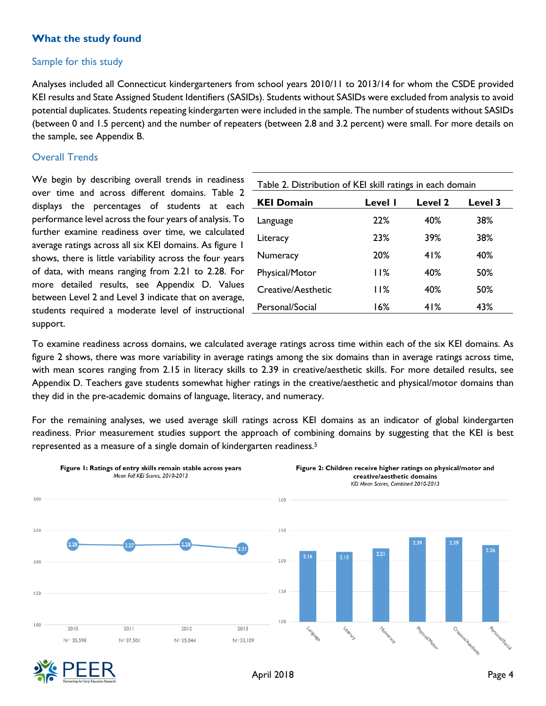## **What the study found**

### Sample for this study

Analyses included all Connecticut kindergarteners from school years 2010/11 to 2013/14 for whom the CSDE provided KEI results and State Assigned Student Identifiers (SASIDs). Students without SASIDs were excluded from analysis to avoid potential duplicates. Students repeating kindergarten were included in the sample. The number of students without SASIDs (between 0 and 1.5 percent) and the number of repeaters (between 2.8 and 3.2 percent) were small. For more details on the sample, see Appendix B.

### Overall Trends

We begin by describing overall trends in readiness over time and across different domains. Table 2 displays the percentages of students at each performance level across the four years of analysis. To further examine readiness over time, we calculated average ratings across all six KEI domains. As figure 1 shows, there is little variability across the four years of data, with means ranging from 2.21 to 2.28. For more detailed results, see Appendix D. Values between Level 2 and Level 3 indicate that on average, students required a moderate level of instructional support.

| Table 2. Distribution of KEI skill ratings in each domain |         |                |                |  |  |  |  |  |  |
|-----------------------------------------------------------|---------|----------------|----------------|--|--|--|--|--|--|
| <b>KEI Domain</b>                                         | Level I | <b>Level 2</b> | <b>Level 3</b> |  |  |  |  |  |  |
| Language                                                  | 22%     | 40%            | 38%            |  |  |  |  |  |  |
| Literacy                                                  | 23%     | 39%            | 38%            |  |  |  |  |  |  |
| Numeracy                                                  | 20%     | 41%            | 40%            |  |  |  |  |  |  |
| Physical/Motor                                            | 11%     | 40%            | 50%            |  |  |  |  |  |  |
| Creative/Aesthetic                                        | 11%     | 40%            | 50%            |  |  |  |  |  |  |
| Personal/Social                                           | 16%     | 41%            | 43%            |  |  |  |  |  |  |

To examine readiness across domains, we calculated average ratings across time within each of the six KEI domains. As figure 2 shows, there was more variability in average ratings among the six domains than in average ratings across time, with mean scores ranging from 2.15 in literacy skills to 2.39 in creative/aesthetic skills. For more detailed results, see Appendix D. Teachers gave students somewhat higher ratings in the creative/aesthetic and physical/motor domains than they did in the pre-academic domains of language, literacy, and numeracy.

For the remaining analyses, we used average skill ratings across KEI domains as an indicator of global kindergarten readiness. Prior measurement studies support the approach of combining domains by suggesting that the KEI is best represented as a measure of a single domain of kindergarten readiness. 5



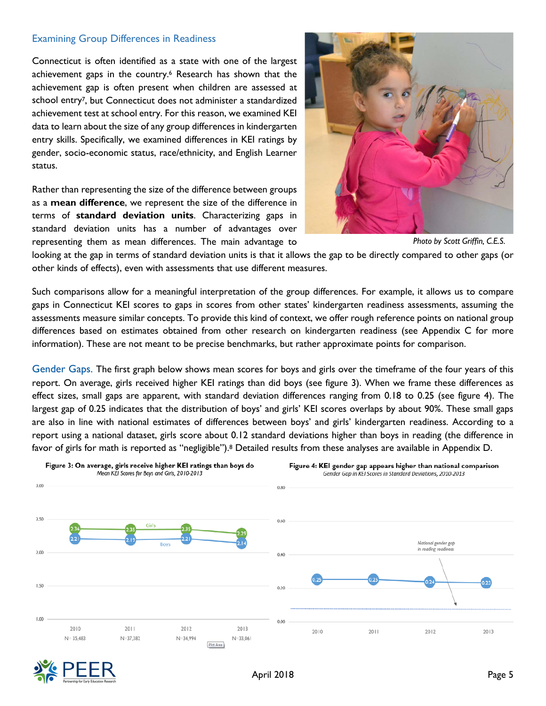#### Examining Group Differences in Readiness

Connecticut is often identified as a state with one of the largest achievement gaps in the country. <sup>6</sup> Research has shown that the achievement gap is often present when children are assessed at school entry7, but Connecticut does not administer a standardized achievement test at school entry. For this reason, we examined KEI data to learn about the size of any group differences in kindergarten entry skills. Specifically, we examined differences in KEI ratings by gender, socio-economic status, race/ethnicity, and English Learner status.

Rather than representing the size of the difference between groups as a **mean difference**, we represent the size of the difference in terms of **standard deviation units**. Characterizing gaps in standard deviation units has a number of advantages over representing them as mean differences. The main advantage to



*Photo by Scott Griffin, C.E.S.*

looking at the gap in terms of standard deviation units is that it allows the gap to be directly compared to other gaps (or other kinds of effects), even with assessments that use different measures.

Such comparisons allow for a meaningful interpretation of the group differences. For example, it allows us to compare gaps in Connecticut KEI scores to gaps in scores from other states' kindergarten readiness assessments, assuming the assessments measure similar concepts. To provide this kind of context, we offer rough reference points on national group differences based on estimates obtained from other research on kindergarten readiness (see Appendix C for more information). These are not meant to be precise benchmarks, but rather approximate points for comparison.

Gender Gaps. The first graph below shows mean scores for boys and girls over the timeframe of the four years of this report. On average, girls received higher KEI ratings than did boys (see figure 3). When we frame these differences as effect sizes, small gaps are apparent, with standard deviation differences ranging from 0.18 to 0.25 (see figure 4). The largest gap of 0.25 indicates that the distribution of boys' and girls' KEI scores overlaps by about 90%. These small gaps are also in line with national estimates of differences between boys' and girls' kindergarten readiness. According to a report using a national dataset, girls score about 0.12 standard deviations higher than boys in reading (the difference in favor of girls for math is reported as "negligible"). <sup>8</sup> Detailed results from these analyses are available in Appendix D.



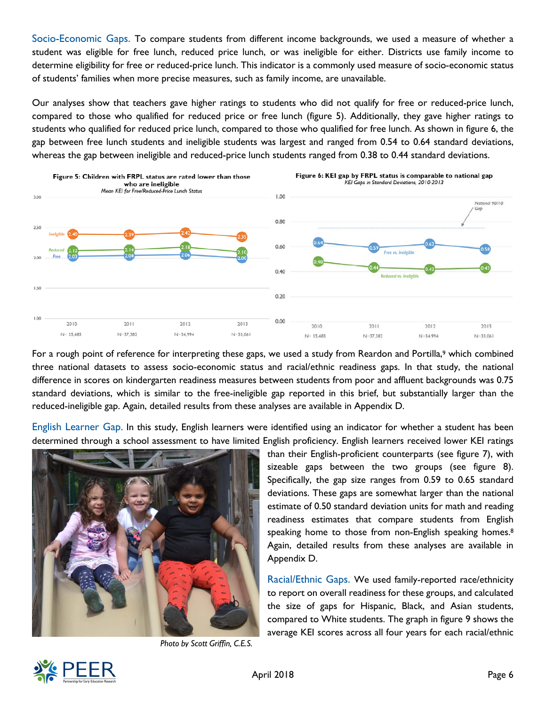Socio-Economic Gaps. To compare students from different income backgrounds, we used a measure of whether a student was eligible for free lunch, reduced price lunch, or was ineligible for either. Districts use family income to determine eligibility for free or reduced-price lunch. This indicator is a commonly used measure of socio-economic status of students' families when more precise measures, such as family income, are unavailable.

Our analyses show that teachers gave higher ratings to students who did not qualify for free or reduced-price lunch, compared to those who qualified for reduced price or free lunch (figure 5). Additionally, they gave higher ratings to students who qualified for reduced price lunch, compared to those who qualified for free lunch. As shown in figure 6, the gap between free lunch students and ineligible students was largest and ranged from 0.54 to 0.64 standard deviations, whereas the gap between ineligible and reduced-price lunch students ranged from 0.38 to 0.44 standard deviations.



For a rough point of reference for interpreting these gaps, we used a study from Reardon and Portilla,<sup>9</sup> which combined three national datasets to assess socio-economic status and racial/ethnic readiness gaps. In that study, the national difference in scores on kindergarten readiness measures between students from poor and affluent backgrounds was 0.75 standard deviations, which is similar to the free-ineligible gap reported in this brief, but substantially larger than the reduced-ineligible gap. Again, detailed results from these analyses are available in Appendix D.

English Learner Gap. In this study, English learners were identified using an indicator for whether a student has been determined through a school assessment to have limited English proficiency. English learners received lower KEI ratings



*Photo by Scott Griffin, C.E.S.*

than their English-proficient counterparts (see figure 7), with sizeable gaps between the two groups (see figure 8). Specifically, the gap size ranges from 0.59 to 0.65 standard deviations. These gaps are somewhat larger than the national estimate of 0.50 standard deviation units for math and reading readiness estimates that compare students from English speaking home to those from non-English speaking homes. 8 Again, detailed results from these analyses are available in Appendix D.

Racial/Ethnic Gaps. We used family-reported race/ethnicity to report on overall readiness for these groups, and calculated the size of gaps for Hispanic, Black, and Asian students, compared to White students. The graph in figure 9 shows the average KEI scores across all four years for each racial/ethnic

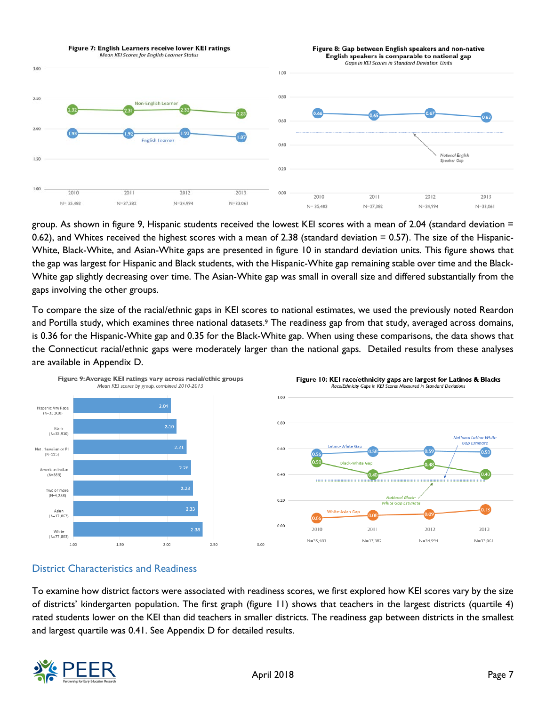

group. As shown in figure 9, Hispanic students received the lowest KEI scores with a mean of 2.04 (standard deviation = 0.62), and Whites received the highest scores with a mean of 2.38 (standard deviation = 0.57). The size of the Hispanic-White, Black-White, and Asian-White gaps are presented in figure 10 in standard deviation units. This figure shows that the gap was largest for Hispanic and Black students, with the Hispanic-White gap remaining stable over time and the Black-White gap slightly decreasing over time. The Asian-White gap was small in overall size and differed substantially from the gaps involving the other groups.

To compare the size of the racial/ethnic gaps in KEI scores to national estimates, we used the previously noted Reardon and Portilla study, which examines three national datasets.<sup>9</sup> The readiness gap from that study, averaged across domains, is 0.36 for the Hispanic-White gap and 0.35 for the Black-White gap. When using these comparisons, the data shows that the Connecticut racial/ethnic gaps were moderately larger than the national gaps. Detailed results from these analyses are available in Appendix D.





**National Black** 

**White Gap Estimate** 

 $2012$ 

 $N = 34.994$ 

 $2011$ 

 $N = 37.382$ 

## District Characteristics and Readiness

To examine how district factors were associated with readiness scores, we first explored how KEI scores vary by the size of districts' kindergarten population. The first graph (figure 11) shows that teachers in the largest districts (quartile 4) rated students lower on the KEI than did teachers in smaller districts. The readiness gap between districts in the smallest and largest quartile was 0.41. See Appendix D for detailed results.



n 13

 $2013$ 

 $N = 33.061$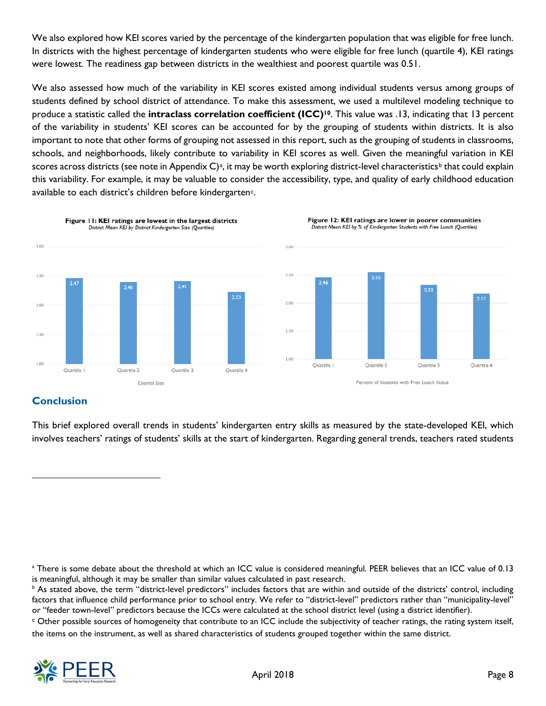We also explored how KEI scores varied by the percentage of the kindergarten population that was eligible for free lunch. In districts with the highest percentage of kindergarten students who were eligible for free lunch (quartile 4), KEI ratings were lowest. The readiness gap between districts in the wealthiest and poorest quartile was 0.51.

We also assessed how much of the variability in KEI scores existed among individual students versus among groups of students defined by school district of attendance. To make this assessment, we used a multilevel modeling technique to produce a statistic called the **intraclass correlation coefficient (ICC)10**. This value was .13, indicating that 13 percent of the variability in students' KEI scores can be accounted for by the grouping of students within districts. It is also important to note that other forms of grouping not assessed in this report, such as the grouping of students in classrooms, schools, and neighborhoods, likely contribute to variability in KEI scores as well. Given the meaningful variation in KEI scores across districts (see note in Appendix  $C$ )<sup>a</sup>, it may [b](#page-7-1)e worth exploring district-level characteristics<sup>b</sup> that could explain this variability. For example, it may be valuable to consider the accessibility, type, and quality of early childhood education available to ea[c](#page-7-2)h district's children before kindergarten<sup>c</sup>.



## **Conclusion**

 $\ddot{ }$ 

This brief explored overall trends in students' kindergarten entry skills as measured by the state-developed KEI, which involves teachers' ratings of students' skills at the start of kindergarten. Regarding general trends, teachers rated students

<span id="page-7-2"></span><sup>c</sup> Other possible sources of homogeneity that contribute to an ICC include the subjectivity of teacher ratings, the rating system itself, the items on the instrument, as well as shared characteristics of students grouped together within the same district.



<span id="page-7-0"></span><sup>&</sup>lt;sup>a</sup> There is some debate about the threshold at which an ICC value is considered meaningful. PEER believes that an ICC value of 0.13 is meaningful, although it may be smaller than similar values calculated in past research.

<span id="page-7-1"></span><sup>&</sup>lt;sup>b</sup> As stated above, the term "district-level predictors" includes factors that are within and outside of the districts' control, including factors that influence child performance prior to school entry. We refer to "district-level" predictors rather than "municipality-level" or "feeder town-level" predictors because the ICCs were calculated at the school district level (using a district identifier).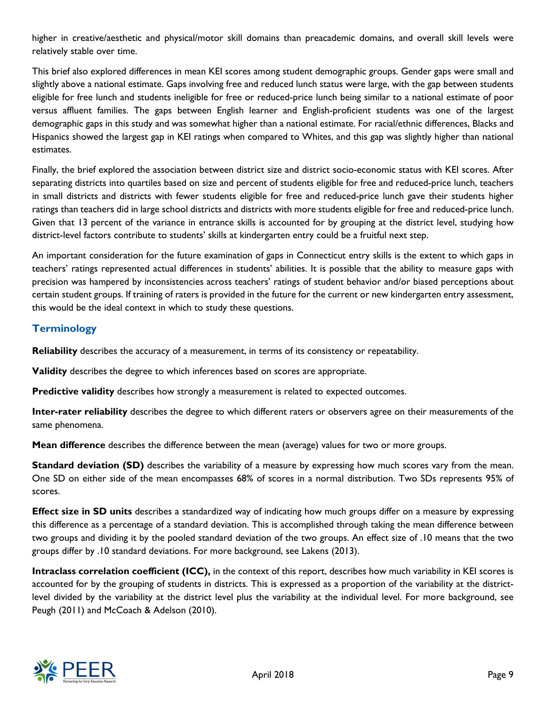higher in creative/aesthetic and physical/motor skill domains than preacademic domains, and overall skill levels were relatively stable over time.

This brief also explored differences in mean KEI scores among student demographic groups. Gender gaps were small and slightly above a national estimate. Gaps involving free and reduced lunch status were large, with the gap between students eligible for free lunch and students ineligible for free or reduced-price lunch being similar to a national estimate of poor versus affluent families. The gaps between English learner and English-proficient students was one of the largest demographic gaps in this study and was somewhat higher than a national estimate. For racial/ethnic differences, Blacks and Hispanics showed the largest gap in KEI ratings when compared to Whites, and this gap was slightly higher than national estimates.

Finally, the brief explored the association between district size and district socio-economic status with KEI scores. After separating districts into quartiles based on size and percent of students eligible for free and reduced-price lunch, teachers in small districts and districts with fewer students eligible for free and reduced-price lunch gave their students higher ratings than teachers did in large school districts and districts with more students eligible for free and reduced-price lunch. Given that 13 percent of the variance in entrance skills is accounted for by grouping at the district level, studying how district-level factors contribute to students' skills at kindergarten entry could be a fruitful next step.

An important consideration for the future examination of gaps in Connecticut entry skills is the extent to which gaps in teachers' ratings represented actual differences in students' abilities. It is possible that the ability to measure gaps with precision was hampered by inconsistencies across teachers' ratings of student behavior and/or biased perceptions about certain student groups. If training of raters is provided in the future for the current or new kindergarten entry assessment, this would be the ideal context in which to study these questions.

## **Terminology**

**Reliability** describes the accuracy of a measurement, in terms of its consistency or repeatability.

**Validity** describes the degree to which inferences based on scores are appropriate.

**Predictive validity** describes how strongly a measurement is related to expected outcomes.

**Inter-rater reliability** describes the degree to which different raters or observers agree on their measurements of the same phenomena.

**Mean difference** describes the difference between the mean (average) values for two or more groups.

**Standard deviation (SD)** describes the variability of a measure by expressing how much scores vary from the mean. One SD on either side of the mean encompasses 68% of scores in a normal distribution. Two SDs represents 95% of scores.

**Effect size in SD units** describes a standardized way of indicating how much groups differ on a measure by expressing this difference as a percentage of a standard deviation. This is accomplished through taking the mean difference between two groups and dividing it by the pooled standard deviation of the two groups. An effect size of .10 means that the two groups differ by .10 standard deviations. For more background, see Lakens (2013).

**Intraclass correlation coefficient (ICC),** in the context of this report, describes how much variability in KEI scores is accounted for by the grouping of students in districts. This is expressed as a proportion of the variability at the districtlevel divided by the variability at the district level plus the variability at the individual level. For more background, see Peugh (2011) and McCoach & Adelson (2010).

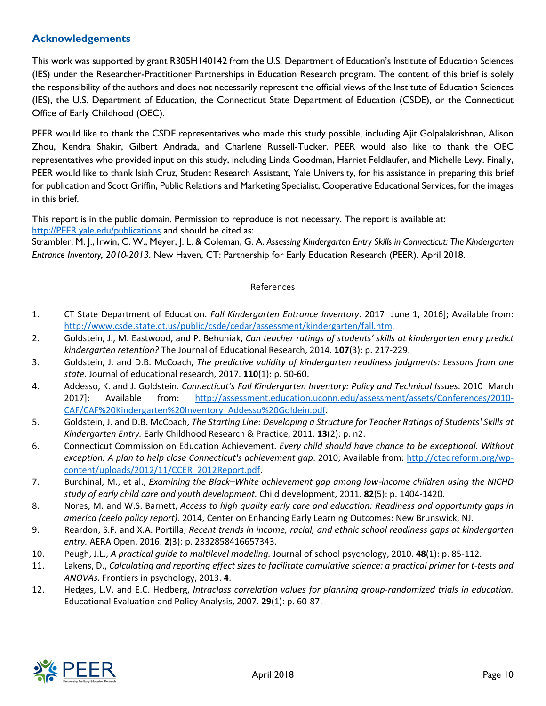## **Acknowledgements**

This work was supported by grant R305H140142 from the U.S. Department of Education's Institute of Education Sciences (IES) under the Researcher-Practitioner Partnerships in Education Research program. The content of this brief is solely the responsibility of the authors and does not necessarily represent the official views of the Institute of Education Sciences (IES), the U.S. Department of Education, the Connecticut State Department of Education (CSDE), or the Connecticut Office of Early Childhood (OEC).

PEER would like to thank the CSDE representatives who made this study possible, including Ajit Golpalakrishnan, Alison Zhou, Kendra Shakir, Gilbert Andrada, and Charlene Russell-Tucker. PEER would also like to thank the OEC representatives who provided input on this study, including Linda Goodman, Harriet Feldlaufer, and Michelle Levy. Finally, PEER would like to thank Isiah Cruz, Student Research Assistant, Yale University, for his assistance in preparing this brief for publication and Scott Griffin, Public Relations and Marketing Specialist, Cooperative Educational Services, for the images in this brief.

This report is in the public domain. Permission to reproduce is not necessary. The report is available at: [http://PEER.yale.edu/publications](http://peer.yale.edu/publications) and should be cited as:

Strambler, M. J., Irwin, C. W., Meyer, J. L. & Coleman, G. A. *Assessing Kindergarten Entry Skills in Connecticut: The Kindergarten Entrance Inventory, 2010-2013.* New Haven, CT: Partnership for Early Education Research (PEER). April 2018.

#### References

- 1. CT State Department of Education. *Fall Kindergarten Entrance Inventory*. 2017 June 1, 2016]; Available from: [http://www.csde.state.ct.us/public/csde/cedar/assessment/kindergarten/fall.htm.](http://www.csde.state.ct.us/public/csde/cedar/assessment/kindergarten/fall.htm)
- 2. Goldstein, J., M. Eastwood, and P. Behuniak, *Can teacher ratings of students' skills at kindergarten entry predict kindergarten retention?* The Journal of Educational Research, 2014. **107**(3): p. 217-229.
- 3. Goldstein, J. and D.B. McCoach, *The predictive validity of kindergarten readiness judgments: Lessons from one state.* Journal of educational research, 2017. **110**(1): p. 50-60.
- 4. Addesso, K. and J. Goldstein. *Connecticut's Fall Kindergarten Inventory: Policy and Technical Issues*. 2010 March 2017]; Available from: [http://assessment.education.uconn.edu/assessment/assets/Conferences/2010-](http://assessment.education.uconn.edu/assessment/assets/Conferences/2010-CAF/CAF%20Kindergarten%20Inventory_Addesso%20Goldein.pdf) [CAF/CAF%20Kindergarten%20Inventory\\_Addesso%20Goldein.pdf.](http://assessment.education.uconn.edu/assessment/assets/Conferences/2010-CAF/CAF%20Kindergarten%20Inventory_Addesso%20Goldein.pdf)
- 5. Goldstein, J. and D.B. McCoach, *The Starting Line: Developing a Structure for Teacher Ratings of Students' Skills at Kindergarten Entry.* Early Childhood Research & Practice, 2011. **13**(2): p. n2.
- 6. Connecticut Commission on Education Achievement. *Every child should have chance to be exceptional. Without exception: A plan to help close Connecticut's achievement gap*. 2010; Available from: [http://ctedreform.org/wp](http://ctedreform.org/wp-content/uploads/2012/11/CCER_2012Report.pdf)[content/uploads/2012/11/CCER\\_2012Report.pdf.](http://ctedreform.org/wp-content/uploads/2012/11/CCER_2012Report.pdf)
- 7. Burchinal, M., et al., *Examining the Black–White achievement gap among low*‐*income children using the NICHD study of early child care and youth development.* Child development, 2011. **82**(5): p. 1404-1420.
- 8. Nores, M. and W.S. Barnett, *Access to high quality early care and education: Readiness and opportunity gaps in america (ceelo policy report)*. 2014, Center on Enhancing Early Learning Outcomes: New Brunswick, NJ.
- 9. Reardon, S.F. and X.A. Portilla, *Recent trends in income, racial, and ethnic school readiness gaps at kindergarten entry.* AERA Open, 2016. **2**(3): p. 2332858416657343.
- 10. Peugh, J.L., *A practical guide to multilevel modeling.* Journal of school psychology, 2010. **48**(1): p. 85-112.
- 11. Lakens, D., *Calculating and reporting effect sizes to facilitate cumulative science: a practical primer for t-tests and ANOVAs.* Frontiers in psychology, 2013. **4**.
- 12. Hedges, L.V. and E.C. Hedberg, *Intraclass correlation values for planning group-randomized trials in education.* Educational Evaluation and Policy Analysis, 2007. **29**(1): p. 60-87.

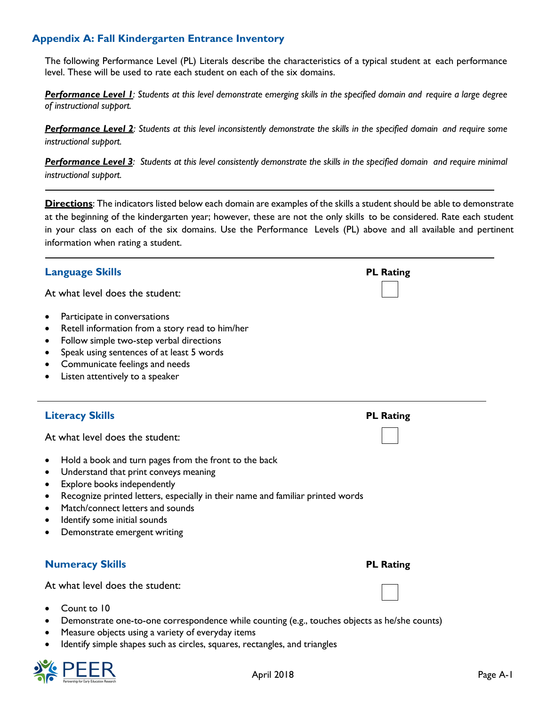## **Appendix A: Fall Kindergarten Entrance Inventory**

The following Performance Level (PL) Literals describe the characteristics of a typical student at each performance level. These will be used to rate each student on each of the six domains.

*Performance Level 1: Students at this level demonstrate emerging skills in the specified domain and require a large degree of instructional support.*

*Performance Level 2: Students at this level inconsistently demonstrate the skills in the specified domain and require some instructional support.*

Performance Level 3: Students at this level consistently demonstrate the skills in the specified domain and require minimal *instructional support.*

**Directions**: The indicators listed below each domain are examples of the skills a student should be able to demonstrate at the beginning of the kindergarten year; however, these are not the only skills to be considered. Rate each student in your class on each of the six domains. Use the Performance Levels (PL) above and all available and pertinent information when rating a student.

| <b>Language Skills</b>                                                                                                                                                                                                                                                                                                                                                                    | <b>PL Rating</b> |
|-------------------------------------------------------------------------------------------------------------------------------------------------------------------------------------------------------------------------------------------------------------------------------------------------------------------------------------------------------------------------------------------|------------------|
| At what level does the student:                                                                                                                                                                                                                                                                                                                                                           |                  |
| Participate in conversations<br>٠<br>Retell information from a story read to him/her<br>٠<br>Follow simple two-step verbal directions<br>$\bullet$<br>Speak using sentences of at least 5 words<br>$\bullet$<br>Communicate feelings and needs<br>Listen attentively to a speaker<br>$\bullet$                                                                                            |                  |
| <b>Literacy Skills</b>                                                                                                                                                                                                                                                                                                                                                                    | <b>PL Rating</b> |
| At what level does the student:                                                                                                                                                                                                                                                                                                                                                           |                  |
| Hold a book and turn pages from the front to the back<br>$\bullet$<br>Understand that print conveys meaning<br>$\bullet$<br>Explore books independently<br>٠<br>Recognize printed letters, especially in their name and familiar printed words<br>$\bullet$<br>Match/connect letters and sounds<br>$\bullet$<br>Identify some initial sounds<br>$\bullet$<br>Demonstrate emergent writing |                  |
| <b>Numeracy Skills</b>                                                                                                                                                                                                                                                                                                                                                                    | <b>PL Rating</b> |
| At what level does the student:                                                                                                                                                                                                                                                                                                                                                           |                  |
| Count to 10<br>Demonstrate one-to-one correspondence while counting (e.g., touches objects as he/she counts)<br>$\bullet$<br>Measure objects using a variety of everyday items<br>٠<br>Identify simple shapes such as circles, squares, rectangles, and triangles<br>$\bullet$                                                                                                            |                  |

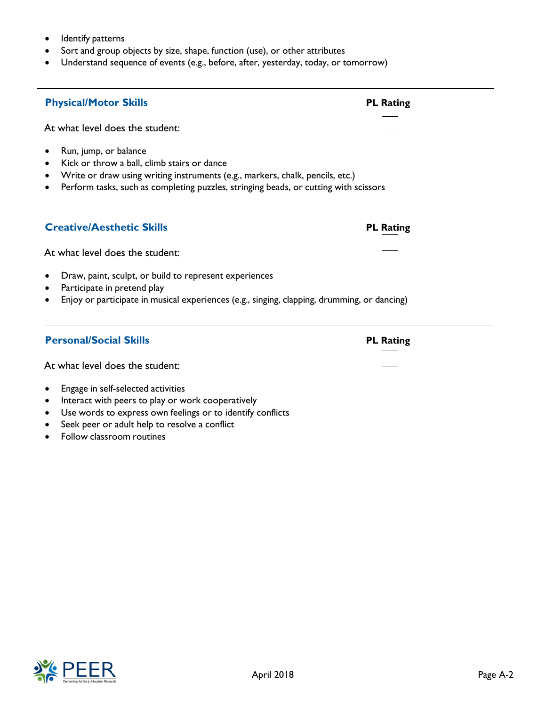- Identify patterns
- Sort and group objects by size, shape, function (use), or other attributes
- Understand sequence of events (e.g., before, after, yesterday, today, or tomorrow)



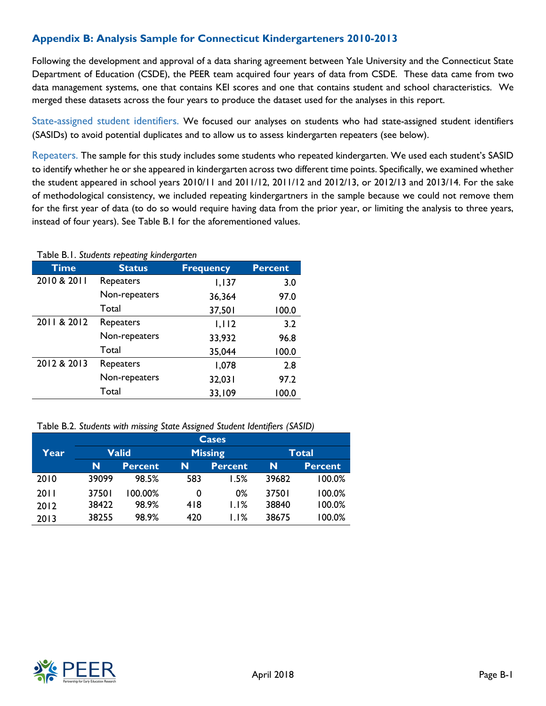## **Appendix B: Analysis Sample for Connecticut Kindergarteners 2010-2013**

Following the development and approval of a data sharing agreement between Yale University and the Connecticut State Department of Education (CSDE), the PEER team acquired four years of data from CSDE. These data came from two data management systems, one that contains KEI scores and one that contains student and school characteristics. We merged these datasets across the four years to produce the dataset used for the analyses in this report.

State-assigned student identifiers. We focused our analyses on students who had state-assigned student identifiers (SASIDs) to avoid potential duplicates and to allow us to assess kindergarten repeaters (see below).

Repeaters. The sample for this study includes some students who repeated kindergarten. We used each student's SASID to identify whether he or she appeared in kindergarten across two different time points. Specifically, we examined whether the student appeared in school years 2010/11 and 2011/12, 2011/12 and 2012/13, or 2012/13 and 2013/14. For the sake of methodological consistency, we included repeating kindergartners in the sample because we could not remove them for the first year of data (to do so would require having data from the prior year, or limiting the analysis to three years, instead of four years). See Table B.1 for the aforementioned values.

#### Table B.1. *Students repeating kindergarten*

| <b>Time</b> | <b>Status</b> | <b>Frequency</b> | <b>Percent</b> |
|-------------|---------------|------------------|----------------|
| 2010 & 2011 | Repeaters     | 1,137            | 3.0            |
|             | Non-repeaters | 36,364           | 97.0           |
|             | Total         | 37,501           | 100.0          |
| 2011 & 2012 | Repeaters     | 1,112            | 3.2            |
|             | Non-repeaters | 33,932           | 96.8           |
|             | Total         | 35,044           | 100.0          |
| 2012 & 2013 | Repeaters     | 1,078            | 2.8            |
|             | Non-repeaters | 32,031           | 97.2           |
|             | Total         | 33,109           | 100.0          |

Table B.2. *Students with missing State Assigned Student Identifiers (SASID)*

|      |              |                |     | Cases          |       |                |  |
|------|--------------|----------------|-----|----------------|-------|----------------|--|
| Year | <b>Valid</b> |                |     | <b>Missing</b> |       | Total          |  |
|      | N            | <b>Percent</b> | N   | <b>Percent</b> | N     | <b>Percent</b> |  |
| 2010 | 39099        | 98.5%          | 583 | 1.5%           | 39682 | 100.0%         |  |
| 2011 | 37501        | $100.00\%$     | 0   | 0%             | 37501 | 100.0%         |  |
| 2012 | 38422        | 98.9%          | 418 | 1.1%           | 38840 | 100.0%         |  |
| 2013 | 38255        | 98.9%          | 420 | 1.1%           | 38675 | 100.0%         |  |

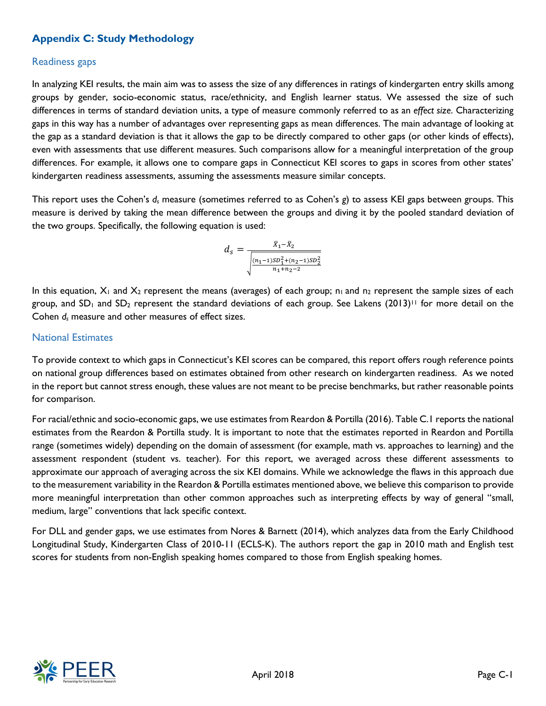## **Appendix C: Study Methodology**

#### Readiness gaps

In analyzing KEI results, the main aim was to assess the size of any differences in ratings of kindergarten entry skills among groups by gender, socio-economic status, race/ethnicity, and English learner status. We assessed the size of such differences in terms of standard deviation units, a type of measure commonly referred to as an *effect size*. Characterizing gaps in this way has a number of advantages over representing gaps as mean differences. The main advantage of looking at the gap as a standard deviation is that it allows the gap to be directly compared to other gaps (or other kinds of effects), even with assessments that use different measures. Such comparisons allow for a meaningful interpretation of the group differences. For example, it allows one to compare gaps in Connecticut KEI scores to gaps in scores from other states' kindergarten readiness assessments, assuming the assessments measure similar concepts.

This report uses the Cohen's *ds* measure (sometimes referred to as Cohen's *g*) to assess KEI gaps between groups. This measure is derived by taking the mean difference between the groups and diving it by the pooled standard deviation of the two groups. Specifically, the following equation is used:

$$
d_s = \frac{\bar{x}_1 - \bar{x}_2}{\sqrt{\frac{(n_1 - 1)SD_1^2 + (n_2 - 1)SD_2^2}{n_1 + n_2 - 2}}}
$$

In this equation,  $X_1$  and  $X_2$  represent the means (averages) of each group;  $n_1$  and  $n_2$  represent the sample sizes of each group, and SD<sub>1</sub> and SD<sub>2</sub> represent the standard deviations of each group. See Lakens (2013)<sup>11</sup> for more detail on the Cohen *ds* measure and other measures of effect sizes.

### National Estimates

To provide context to which gaps in Connecticut's KEI scores can be compared, this report offers rough reference points on national group differences based on estimates obtained from other research on kindergarten readiness. As we noted in the report but cannot stress enough, these values are not meant to be precise benchmarks, but rather reasonable points for comparison.

For racial/ethnic and socio-economic gaps, we use estimates from Reardon & Portilla (2016). Table C.1 reports the national estimates from the Reardon & Portilla study. It is important to note that the estimates reported in Reardon and Portilla range (sometimes widely) depending on the domain of assessment (for example, math vs. approaches to learning) and the assessment respondent (student vs. teacher). For this report, we averaged across these different assessments to approximate our approach of averaging across the six KEI domains. While we acknowledge the flaws in this approach due to the measurement variability in the Reardon & Portilla estimates mentioned above, we believe this comparison to provide more meaningful interpretation than other common approaches such as interpreting effects by way of general "small, medium, large" conventions that lack specific context.

For DLL and gender gaps, we use estimates from Nores & Barnett (2014), which analyzes data from the Early Childhood Longitudinal Study, Kindergarten Class of 2010-11 (ECLS-K). The authors report the gap in 2010 math and English test scores for students from non-English speaking homes compared to those from English speaking homes.

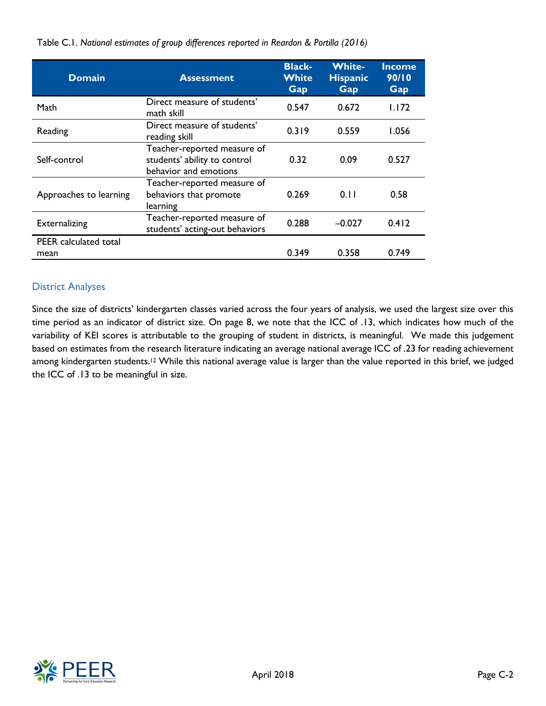| <b>Domain</b>                        | <b>Assessment</b>                                                                    | <b>Black-</b><br><b>White</b><br><b>Gap</b> | <b>White-</b><br><b>Hispanic</b><br>Gap | <u>Income</u><br>90/10<br>Gap |
|--------------------------------------|--------------------------------------------------------------------------------------|---------------------------------------------|-----------------------------------------|-------------------------------|
| Math                                 | Direct measure of students'<br>math skill                                            | 0.547                                       | 0.672                                   | I.I72                         |
| Reading                              | Direct measure of students'<br>reading skill                                         | 0.319                                       | 0.559                                   | 1.056                         |
| Self-control                         | Teacher-reported measure of<br>students' ability to control<br>behavior and emotions | 0.32                                        | 0.09                                    | 0.527                         |
| Approaches to learning               | Teacher-reported measure of<br>behaviors that promote<br>learning                    | 0.269                                       | 0.11                                    | 0.58                          |
| <b>Externalizing</b>                 | Teacher-reported measure of<br>students' acting-out behaviors                        | 0.288                                       | $-0.027$                                | 0.412                         |
| <b>PEER</b> calculated total<br>mean |                                                                                      | 0.349                                       | 0.358                                   | 0.749                         |

Table C.1. *National estimates of group differences reported in Reardon & Portilla (2016)*

## District Analyses

Since the size of districts' kindergarten classes varied across the four years of analysis, we used the largest size over this time period as an indicator of district size. On page 8, we note that the ICC of .13, which indicates how much of the variability of KEI scores is attributable to the grouping of student in districts, is meaningful. We made this judgement based on estimates from the research literature indicating an average national average ICC of .23 for reading achievement among kindergarten students.<sup>12</sup> While this national average value is larger than the value reported in this brief, we judged the ICC of .13 to be meaningful in size.

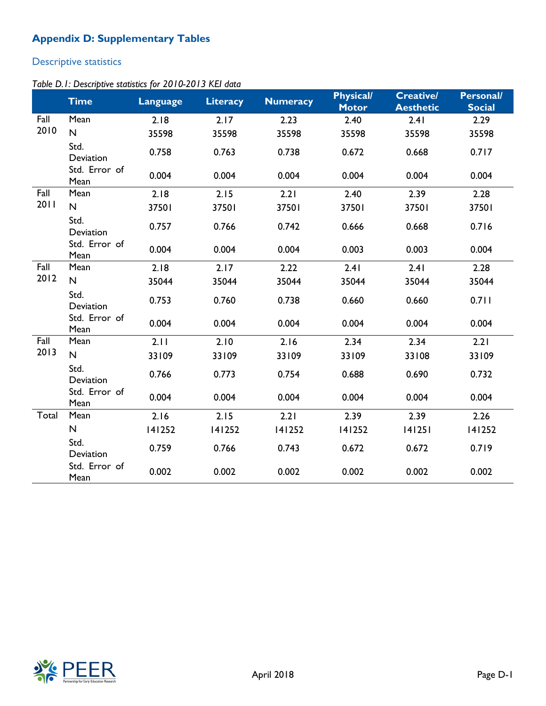## **Appendix D: Supplementary Tables**

# Descriptive statistics

## *Table D.1: Descriptive statistics for 2010-2013 KEI data*

|       | <b>Time</b>           | Language | <b>Literacy</b> | <b>Numeracy</b> | <b>Physical/</b><br><b>Motor</b> | <b>Creative/</b><br><b>Aesthetic</b> | <b>Personal/</b><br><b>Social</b> |
|-------|-----------------------|----------|-----------------|-----------------|----------------------------------|--------------------------------------|-----------------------------------|
| Fall  | Mean                  | 2.18     | 2.17            | 2.23            | 2.40                             | 2.41                                 | 2.29                              |
| 2010  | $\mathsf{N}$          | 35598    | 35598           | 35598           | 35598                            | 35598                                | 35598                             |
|       | Std.<br>Deviation     | 0.758    | 0.763           | 0.738           | 0.672                            | 0.668                                | 0.717                             |
|       | Std. Error of<br>Mean | 0.004    | 0.004           | 0.004           | 0.004                            | 0.004                                | 0.004                             |
| Fall  | Mean                  | 2.18     | 2.15            | 2.21            | 2.40                             | 2.39                                 | 2.28                              |
| 2011  | $\mathsf{N}$          | 37501    | 37501           | 37501           | 37501                            | 37501                                | 37501                             |
|       | Std.<br>Deviation     | 0.757    | 0.766           | 0.742           | 0.666                            | 0.668                                | 0.716                             |
|       | Std. Error of<br>Mean | 0.004    | 0.004           | 0.004           | 0.003                            | 0.003                                | 0.004                             |
| Fall  | Mean                  | 2.18     | 2.17            | 2.22            | 2.41                             | 2.41                                 | 2.28                              |
| 2012  | $\mathsf{N}$          | 35044    | 35044           | 35044           | 35044                            | 35044                                | 35044                             |
|       | Std.<br>Deviation     | 0.753    | 0.760           | 0.738           | 0.660                            | 0.660                                | 0.711                             |
|       | Std. Error of<br>Mean | 0.004    | 0.004           | 0.004           | 0.004                            | 0.004                                | 0.004                             |
| Fall  | Mean                  | 2.11     | 2.10            | 2.16            | 2.34                             | 2.34                                 | 2.21                              |
| 2013  | $\mathsf{N}$          | 33109    | 33109           | 33109           | 33109                            | 33108                                | 33109                             |
|       | Std.<br>Deviation     | 0.766    | 0.773           | 0.754           | 0.688                            | 0.690                                | 0.732                             |
|       | Std. Error of<br>Mean | 0.004    | 0.004           | 0.004           | 0.004                            | 0.004                                | 0.004                             |
| Total | Mean                  | 2.16     | 2.15            | 2.21            | 2.39                             | 2.39                                 | 2.26                              |
|       | ${\sf N}$             | 141252   | 141252          | 141252          | 141252                           | 141251                               | 141252                            |
|       | Std.<br>Deviation     | 0.759    | 0.766           | 0.743           | 0.672                            | 0.672                                | 0.719                             |
|       | Std. Error of<br>Mean | 0.002    | 0.002           | 0.002           | 0.002                            | 0.002                                | 0.002                             |

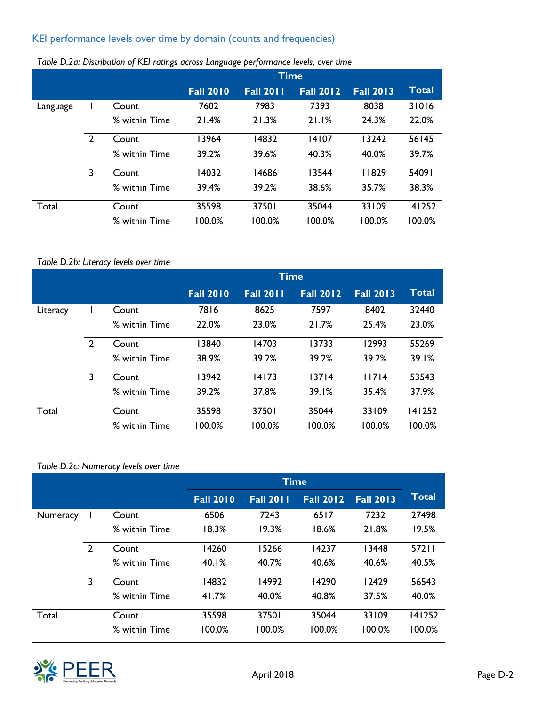## KEI performance levels over time by domain (counts and frequencies)

|          |                |               | <b>Time</b>      |                  |                  |                  |        |
|----------|----------------|---------------|------------------|------------------|------------------|------------------|--------|
|          |                |               | <b>Fall 2010</b> | <b>Fall 2011</b> | <b>Fall 2012</b> | <b>Fall 2013</b> | Total  |
| Language |                | Count         | 7602             | 7983             | 7393             | 8038             | 31016  |
|          |                | % within Time | 21.4%            | 21.3%            | 21.1%            | 24.3%            | 22.0%  |
|          | $\overline{2}$ | Count         | 3964             | 14832            | 14107            | 3242             | 56145  |
|          |                | % within Time | 39.2%            | 39.6%            | 40.3%            | 40.0%            | 39.7%  |
|          | 3              | Count         | 14032            | 14686            | 13544            | 11829            | 54091  |
|          |                | % within Time | 39.4%            | 39.2%            | 38.6%            | 35.7%            | 38.3%  |
| Total    |                | Count         | 35598            | 37501            | 35044            | 33109            | 141252 |
|          |                | % within Time | 100.0%           | 100.0%           | 100.0%           | 100.0%           | 100.0% |

## *Table D.2a: Distribution of KEI ratings across Language performance levels, over time*

## *Table D.2b: Literacy levels over time*

|          |                |               |                  | <b>Time</b>      |                  |                  |        |
|----------|----------------|---------------|------------------|------------------|------------------|------------------|--------|
|          |                |               | <b>Fall 2010</b> | <b>Fall 2011</b> | <b>Fall 2012</b> | <b>Fall 2013</b> | Total  |
| Literacy |                | Count         | 7816             | 8625             | 7597             | 8402             | 32440  |
|          |                | % within Time | 22.0%            | 23.0%            | 21.7%            | 25.4%            | 23.0%  |
|          | $\overline{2}$ | Count         | 13840            | 14703            | 13733            | 12993            | 55269  |
|          |                | % within Time | 38.9%            | 39.2%            | 39.2%            | 39.2%            | 39.1%  |
|          | 3              | Count         | 13942            | 14173            | 13714            | 11714            | 53543  |
|          |                | % within Time | 39.2%            | 37.8%            | 39.1%            | 35.4%            | 37.9%  |
| Total    |                | Count         | 35598            | 37501            | 35044            | 33109            | 141252 |
|          |                | % within Time | 100.0%           | 100.0%           | 100.0%           | 100.0%           | 100.0% |

#### *Table D.2c: Numeracy levels over time*

|          |                |               | <b>Time</b>      |                  |                  |                  |              |
|----------|----------------|---------------|------------------|------------------|------------------|------------------|--------------|
|          |                |               | <b>Fall 2010</b> | <b>Fall 2011</b> | <b>Fall 2012</b> | <b>Fall 2013</b> | <b>Total</b> |
| Numeracy |                | Count         | 6506             | 7243             | 6517             | 7232             | 27498        |
|          |                | % within Time | 18.3%            | 19.3%            | 18.6%            | 21.8%            | 19.5%        |
|          | $\overline{2}$ | Count         | 14260            | 15266            | 14237            | 13448            | 57211        |
|          |                | % within Time | 40.1%            | 40.7%            | 40.6%            | 40.6%            | 40.5%        |
|          | 3              | Count         | 14832            | 14992            | 14290            | 12429            | 56543        |
|          |                | % within Time | 41.7%            | 40.0%            | 40.8%            | 37.5%            | 40.0%        |
| Total    |                | Count         | 35598            | 37501            | 35044            | 33109            | 141252       |
|          |                | % within Time | 100.0%           | 100.0%           | 100.0%           | 100.0%           | 100.0%       |

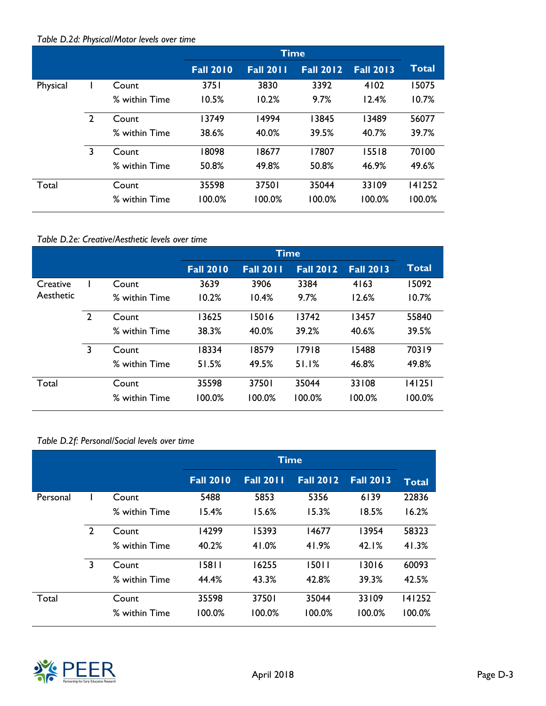## *Table D.2d: Physical/Motor levels over time*

|          |                |               | <b>Time</b>      |                  |                  |                  |              |
|----------|----------------|---------------|------------------|------------------|------------------|------------------|--------------|
|          |                |               | <b>Fall 2010</b> | <b>Fall 2011</b> | <b>Fall 2012</b> | <b>Fall 2013</b> | <b>Total</b> |
| Physical |                | Count         | 3751             | 3830             | 3392             | 4102             | 15075        |
|          |                | % within Time | 10.5%            | 10.2%            | 9.7%             | 12.4%            | 10.7%        |
|          | $\overline{2}$ | Count         | 13749            | 14994            | 13845            | 13489            | 56077        |
|          |                | % within Time | 38.6%            | 40.0%            | 39.5%            | 40.7%            | 39.7%        |
|          | 3              | Count         | 8098             | 18677            | 17807            | 15518            | 70100        |
|          |                | % within Time | 50.8%            | 49.8%            | 50.8%            | 46.9%            | 49.6%        |
| Total    |                | Count         | 35598            | 37501            | 35044            | 33109            | 141252       |
|          |                | % within Time | 100.0%           | 100.0%           | 100.0%           | 100.0%           | 100.0%       |

### *Table D.2e: Creative/Aesthetic levels over time*

|           |                |               | <b>Time</b>      |                  |                  |                  |        |
|-----------|----------------|---------------|------------------|------------------|------------------|------------------|--------|
|           |                |               | <b>Fall 2010</b> | <b>Fall 2011</b> | <b>Fall 2012</b> | <b>Fall 2013</b> | Total  |
| Creative  |                | Count         | 3639             | 3906             | 3384             | 4163             | 15092  |
| Aesthetic |                | % within Time | 10.2%            | 10.4%            | 9.7%             | 12.6%            | 10.7%  |
|           | $\overline{2}$ | Count         | 3625             | 15016            | 13742            | 13457            | 55840  |
|           |                | % within Time | 38.3%            | 40.0%            | 39.2%            | 40.6%            | 39.5%  |
|           | 3              | Count         | 18334            | 18579            | 17918            | 5488             | 70319  |
|           |                | % within Time | 51.5%            | 49.5%            | 51.1%            | 46.8%            | 49.8%  |
| Total     |                | Count         | 35598            | 37501            | 35044            | 33108            | 141251 |
|           |                | % within Time | 100.0%           | 100.0%           | 100.0%           | 100.0%           | 100.0% |

## *Table D.2f: Personal/Social levels over time*

|          |                |               | <b>Time</b>      |                  |                  |                  |        |
|----------|----------------|---------------|------------------|------------------|------------------|------------------|--------|
|          |                |               | <b>Fall 2010</b> | <b>Fall 2011</b> | <b>Fall 2012</b> | <b>Fall 2013</b> | Total  |
| Personal |                | Count         | 5488             | 5853             | 5356             | 6139             | 22836  |
|          |                | % within Time | 15.4%            | 15.6%            | 15.3%            | 18.5%            | 16.2%  |
|          | $\overline{2}$ | Count         | 14299            | 15393            | 14677            | 13954            | 58323  |
|          |                | % within Time | 40.2%            | 41.0%            | 41.9%            | 42.1%            | 41.3%  |
|          | $\overline{3}$ | Count         | 15811            | 16255            | 15011            | 13016            | 60093  |
|          |                | % within Time | 44.4%            | 43.3%            | 42.8%            | 39.3%            | 42.5%  |
| Total    |                | Count         | 35598            | 37501            | 35044            | 33109            | 141252 |
|          |                | % within Time | 100.0%           | 100.0%           | 100.0%           | 100.0%           | 100.0% |

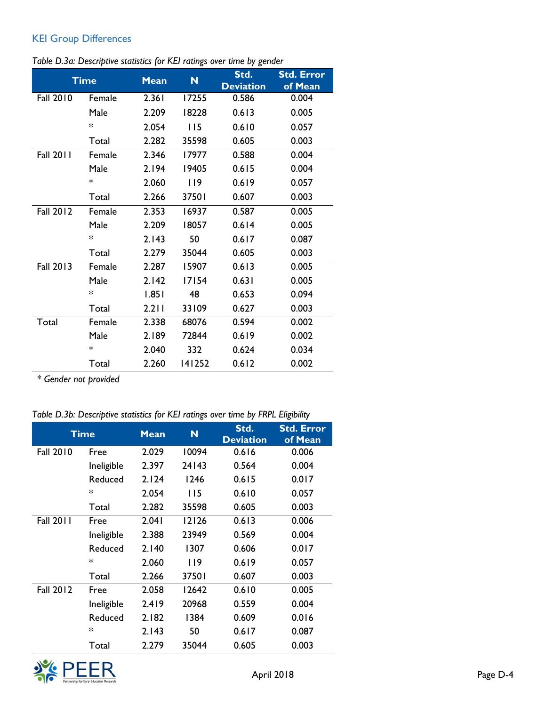## KEI Group Differences

|  | Table D.3a: Descriptive statistics for KEI ratings over time by gender |  |  |  |
|--|------------------------------------------------------------------------|--|--|--|
|  |                                                                        |  |  |  |

|                  | <b>Time</b> | <b>Mean</b> | N      | Std.<br><b>Deviation</b> | <b>Std. Error</b><br>of Mean |
|------------------|-------------|-------------|--------|--------------------------|------------------------------|
| <b>Fall 2010</b> | Female      | 2.361       | 17255  | 0.586                    | 0.004                        |
|                  | Male        | 2.209       | 18228  | 0.613                    | 0.005                        |
|                  | $\ast$      | 2.054       | 115    | 0.610                    | 0.057                        |
|                  | Total       | 2.282       | 35598  | 0.605                    | 0.003                        |
| <b>Fall 2011</b> | Female      | 2.346       | 17977  | 0.588                    | 0.004                        |
|                  | Male        | 2.194       | 19405  | 0.615                    | 0.004                        |
|                  | $\ast$      | 2.060       | 119    | 0.619                    | 0.057                        |
|                  | Total       | 2.266       | 37501  | 0.607                    | 0.003                        |
| <b>Fall 2012</b> | Female      | 2.353       | 16937  | 0.587                    | 0.005                        |
|                  | Male        | 2.209       | 18057  | 0.614                    | 0.005                        |
|                  | $\ast$      | 2.143       | 50     | 0.617                    | 0.087                        |
|                  | Total       | 2.279       | 35044  | 0.605                    | 0.003                        |
| <b>Fall 2013</b> | Female      | 2.287       | 15907  | 0.613                    | 0.005                        |
|                  | Male        | 2.142       | 17154  | 0.631                    | 0.005                        |
|                  | $\ast$      | 1.851       | 48     | 0.653                    | 0.094                        |
|                  | Total       | 2.211       | 33109  | 0.627                    | 0.003                        |
| Total            | Female      | 2.338       | 68076  | 0.594                    | 0.002                        |
|                  | Male        | 2.189       | 72844  | 0.619                    | 0.002                        |
|                  | $\ast$      | 2.040       | 332    | 0.624                    | 0.034                        |
|                  | Total       | 2.260       | 141252 | 0.612                    | 0.002                        |

*\* Gender not provided*

*Table D.3b: Descriptive statistics for KEI ratings over time by FRPL Eligibility*

| Time             |            | <b>Mean</b> | N     | Std.<br><b>Deviation</b> | <b>Std. Error</b><br>of Mean |
|------------------|------------|-------------|-------|--------------------------|------------------------------|
| <b>Fall 2010</b> | Free       | 2.029       | 10094 | 0.616                    | 0.006                        |
|                  | Ineligible | 2.397       | 24143 | 0.564                    | 0.004                        |
|                  | Reduced    | 2.124       | 1246  | 0.615                    | 0.017                        |
|                  | $\ast$     | 2.054       | 115   | 0.610                    | 0.057                        |
|                  | Total      | 2.282       | 35598 | 0.605                    | 0.003                        |
| <b>Fall 2011</b> | Free       | 2.041       | 12126 | 0.613                    | 0.006                        |
|                  | Ineligible | 2.388       | 23949 | 0.569                    | 0.004                        |
|                  | Reduced    | 2.140       | 1307  | 0.606                    | 0.017                        |
|                  | $\ast$     | 2.060       | 119   | 0.619                    | 0.057                        |
|                  | Total      | 2.266       | 37501 | 0.607                    | 0.003                        |
| <b>Fall 2012</b> | Free       | 2.058       | 12642 | 0.610                    | 0.005                        |
|                  | Ineligible | 2.419       | 20968 | 0.559                    | 0.004                        |
|                  | Reduced    | 2.182       | 1384  | 0.609                    | 0.016                        |
|                  | $\ast$     | 2.143       | 50    | 0.617                    | 0.087                        |
|                  | Total      | 2.279       | 35044 | 0.605                    | 0.003                        |

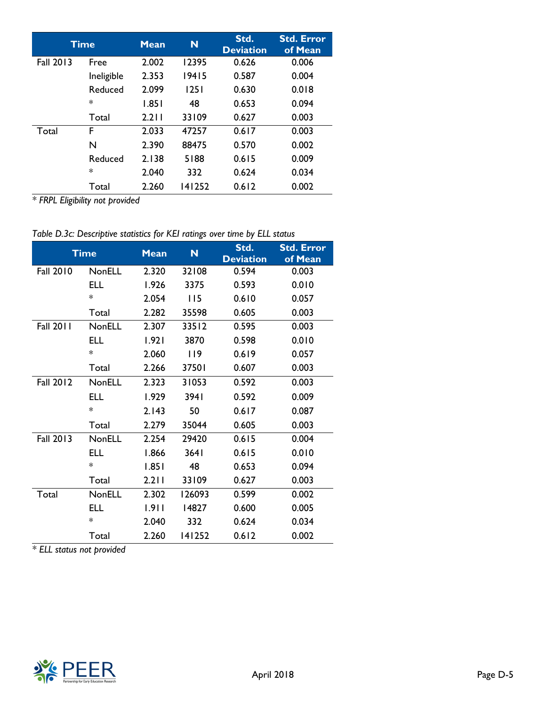|                  | Time       | <b>Mean</b> | N      | Std.<br><b>Deviation</b> | <b>Std. Error</b><br>of Mean |
|------------------|------------|-------------|--------|--------------------------|------------------------------|
| <b>Fall 2013</b> | Free       | 2.002       | 12395  | 0.626                    | 0.006                        |
|                  | Ineligible | 2.353       | 19415  | 0.587                    | 0.004                        |
|                  | Reduced    | 2.099       | 1251   | 0.630                    | 0.018                        |
|                  | $\ast$     | 1.851       | 48     | 0.653                    | 0.094                        |
|                  | Total      | 2.211       | 33109  | 0.627                    | 0.003                        |
| Total            | F          | 2.033       | 47257  | 0.617                    | 0.003                        |
|                  | N          | 2.390       | 88475  | 0.570                    | 0.002                        |
|                  | Reduced    | 2.138       | 5188   | 0.615                    | 0.009                        |
|                  | $\ast$     | 2.040       | 332    | 0.624                    | 0.034                        |
|                  | Total      | 2.260       | 141252 | 0.612                    | 0.002                        |

*\* FRPL Eligibility not provided*

*Table D.3c: Descriptive statistics for KEI ratings over time by ELL status*

|                  | <b>Time</b>   | <b>Mean</b> | N.     | Std.<br><b>Deviation</b> | <b>Std. Error</b><br>of Mean |
|------------------|---------------|-------------|--------|--------------------------|------------------------------|
| Fall 2010 NonELL |               | 2.320       | 32108  | 0.594                    | 0.003                        |
|                  | ELL           | 1.926       | 3375   | 0.593                    | 0.010                        |
|                  | $\ast$        | 2.054       | 115    | 0.610                    | 0.057                        |
|                  | Total         | 2.282       | 35598  | 0.605                    | 0.003                        |
| <b>Fall 2011</b> | <b>NonELL</b> | 2.307       | 33512  | 0.595                    | 0.003                        |
|                  | ELL           | 1.921       | 3870   | 0.598                    | 0.010                        |
|                  | $\ast$        | 2.060       | 119    | 0.619                    | 0.057                        |
|                  | Total         | 2.266       | 37501  | 0.607                    | 0.003                        |
| <b>Fall 2012</b> | <b>NonELL</b> | 2.323       | 31053  | 0.592                    | 0.003                        |
|                  | ELL.          | 1.929       | 3941   | 0.592                    | 0.009                        |
|                  | $*$           | 2.143       | 50     | 0.617                    | 0.087                        |
|                  | Total         | 2.279       | 35044  | 0.605                    | 0.003                        |
| <b>Fall 2013</b> | <b>NonELL</b> | 2.254       | 29420  | 0.615                    | 0.004                        |
|                  | ELL.          | 1.866       | 3641   | 0.615                    | 0.010                        |
|                  | $*$           | 1.851       | - 48   | 0.653                    | 0.094                        |
|                  | Total         | 2.211       | 33109  | 0.627                    | 0.003                        |
| Total            | <b>NonELL</b> | 2.302       | 126093 | 0.599                    | 0.002                        |
|                  | ELL.          | 1.911       | 14827  | 0.600                    | 0.005                        |
|                  | $\ast$        | 2.040       | 332    | 0.624                    | 0.034                        |
|                  | Total         | 2.260       | 141252 | 0.612                    | 0.002                        |

*\* ELL status not provided*

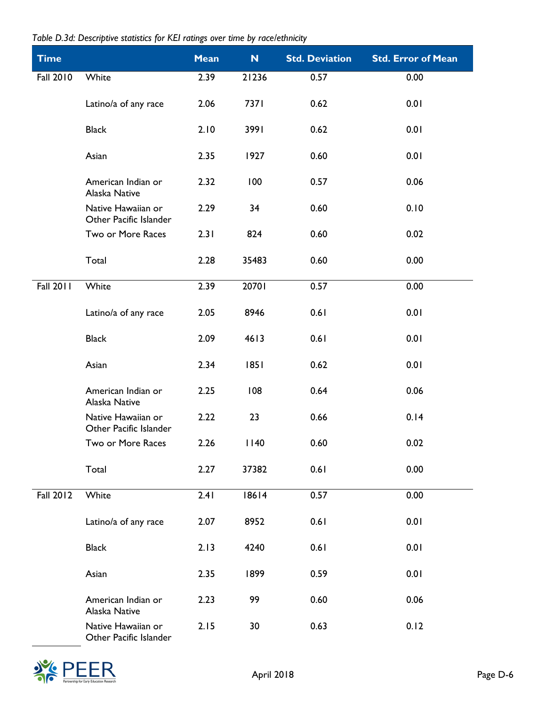| Table D.3d: Descriptive statistics for KEI ratings over time by race/ethnicity |  |  |  |  |  |  |  |  |
|--------------------------------------------------------------------------------|--|--|--|--|--|--|--|--|
|--------------------------------------------------------------------------------|--|--|--|--|--|--|--|--|

| <b>Time</b>      |                                              | <b>Mean</b> | N     | <b>Std. Deviation</b> | <b>Std. Error of Mean</b> |
|------------------|----------------------------------------------|-------------|-------|-----------------------|---------------------------|
| <b>Fall 2010</b> | White                                        | 2.39        | 21236 | 0.57                  | 0.00                      |
|                  | Latino/a of any race                         | 2.06        | 7371  | 0.62                  | 0.01                      |
|                  | <b>Black</b>                                 | 2.10        | 3991  | 0.62                  | 0.01                      |
|                  | Asian                                        | 2.35        | 1927  | 0.60                  | 0.01                      |
|                  | American Indian or<br>Alaska Native          | 2.32        | 100   | 0.57                  | 0.06                      |
|                  | Native Hawaiian or<br>Other Pacific Islander | 2.29        | 34    | 0.60                  | 0.10                      |
|                  | Two or More Races                            | 2.31        | 824   | 0.60                  | 0.02                      |
|                  | Total                                        | 2.28        | 35483 | 0.60                  | 0.00                      |
| <b>Fall 2011</b> | White                                        | 2.39        | 20701 | 0.57                  | 0.00                      |
|                  | Latino/a of any race                         | 2.05        | 8946  | 0.61                  | 0.01                      |
|                  | <b>Black</b>                                 | 2.09        | 4613  | 0.61                  | 0.01                      |
|                  | Asian                                        | 2.34        | 1851  | 0.62                  | 0.01                      |
|                  | American Indian or<br>Alaska Native          | 2.25        | 108   | 0.64                  | 0.06                      |
|                  | Native Hawaiian or<br>Other Pacific Islander | 2.22        | 23    | 0.66                  | 0.14                      |
|                  | Two or More Races                            | 2.26        | 1140  | 0.60                  | 0.02                      |
|                  | Total                                        | 2.27        | 37382 | 0.61                  | 0.00                      |
| <b>Fall 2012</b> | White                                        | 2.41        | 18614 | 0.57                  | 0.00                      |
|                  | Latino/a of any race                         | 2.07        | 8952  | 0.61                  | 0.01                      |
|                  | <b>Black</b>                                 | 2.13        | 4240  | 0.61                  | 0.01                      |
|                  | Asian                                        | 2.35        | 1899  | 0.59                  | 0.01                      |
|                  | American Indian or<br>Alaska Native          | 2.23        | 99    | 0.60                  | 0.06                      |
|                  | Native Hawaiian or<br>Other Pacific Islander | 2.15        | 30    | 0.63                  | 0.12                      |

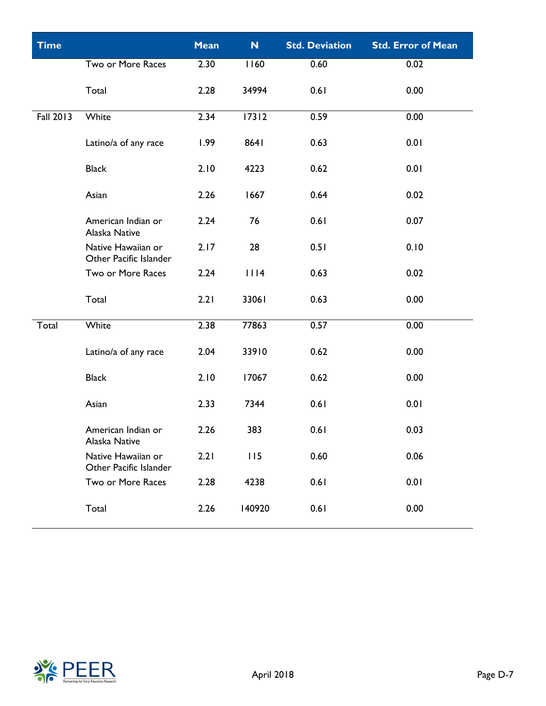| <b>Time</b> |                                              | <b>Mean</b> | N      | <b>Std. Deviation</b> | <b>Std. Error of Mean</b> |
|-------------|----------------------------------------------|-------------|--------|-----------------------|---------------------------|
|             | Two or More Races                            | 2.30        | 1160   | 0.60                  | 0.02                      |
|             | Total                                        | 2.28        | 34994  | 0.61                  | 0.00                      |
| Fall 2013   | White                                        | 2.34        | 17312  | 0.59                  | 0.00                      |
|             | Latino/a of any race                         | 1.99        | 8641   | 0.63                  | 0.01                      |
|             | <b>Black</b>                                 | 2.10        | 4223   | 0.62                  | 0.01                      |
|             | Asian                                        | 2.26        | 1667   | 0.64                  | 0.02                      |
|             | American Indian or<br>Alaska Native          | 2.24        | 76     | 0.61                  | 0.07                      |
|             | Native Hawaiian or<br>Other Pacific Islander | 2.17        | 28     | 0.51                  | 0.10                      |
|             | Two or More Races                            | 2.24        | 1114   | 0.63                  | 0.02                      |
|             | Total                                        | 2.21        | 33061  | 0.63                  | 0.00                      |
| Total       | White                                        | 2.38        | 77863  | 0.57                  | 0.00                      |
|             | Latino/a of any race                         | 2.04        | 33910  | 0.62                  | 0.00                      |
|             | <b>Black</b>                                 | 2.10        | 17067  | 0.62                  | 0.00                      |
|             | Asian                                        | 2.33        | 7344   | 0.61                  | 0.01                      |
|             | American Indian or<br>Alaska Native          | 2.26        | 383    | 0.61                  | 0.03                      |
|             | Native Hawaiian or<br>Other Pacific Islander | 2.21        | 115    | 0.60                  | 0.06                      |
|             | Two or More Races                            | 2.28        | 4238   | 0.61                  | 0.01                      |
|             | Total                                        | 2.26        | 140920 | 0.61                  | 0.00                      |